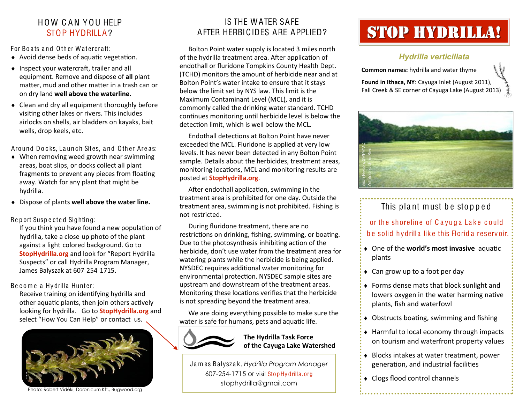#### HO W C A N YOU HELP STOP HYDRILLA?

For Boats and Other Watercraft:

- $\triangle$  Avoid dense beds of aquatic vegetation.
- $\bullet$  Inspect your watercraft, trailer and all equipment. Remove and dispose of **all** plant matter, mud and other matter in a trash can or on dry land **well above the waterline.**
- Clean and dry all equipment thoroughly before visiting other lakes or rivers. This includes airlocks on shells, air bladders on kayaks, bait wells, drop keels, etc.

Around Docks, Launch Sites, and Other Areas:

- When removing weed growth near swimming areas, boat slips, or docks collect all plant fragments to prevent any pieces from floating away. Watch for any plant that might be hydrilla.
- Dispose of plants **well above the water line.**

Report Suspected Sighting:

If you think you have found a new population of hydrilla, take a close up photo of the plant against a light colored background. Go to **StopHydrilla.org** and look for "Report Hydrilla Suspects" or call Hydrilla Program Manager, James Balyszak at 607 254 1715.

Become a Hydrilla Hunter:

Receive training on identifying hydrilla and other aquatic plants, then join others actively looking for hydrilla. Go to **StopHydrilla.org** and select "How You Can Help" or contact us.



Photo: Robert Vidéki, Doronicum Kft., Bugwood.org

#### IS THE WATER SAFE AFTER HERBICIDES ARE APPLIED?

Bolton Point water supply is located 3 miles north of the hydrilla treatment area. After application of endothall or fluridone Tompkins County Health Dept. (TCHD) monitors the amount of herbicide near and at Bolton Point's water intake to ensure that it stays below the limit set by NYS law. This limit is the Maximum Contaminant Level (MCL), and it is commonly called the drinking water standard. TCHD continues monitoring until herbicide level is below the detection limit, which is well below the MCL.

Endothall detections at Bolton Point have never exceeded the MCL. Fluridone is applied at very low levels. It has never been detected in any Bolton Point sample. Details about the herbicides, treatment areas, monitoring locations, MCL and monitoring results are posted at **StopHydrilla.org**.

After endothall application, swimming in the treatment area is prohibited for one day. Outside the treatment area, swimming is not prohibited. Fishing is not restricted.

During fluridone treatment, there are no restrictions on drinking, fishing, swimming, or boating. Due to the photosynthesis inhibiting action of the herbicide, don't use water from the treatment area for watering plants while the herbicide is being applied. NYSDEC requires additional water monitoring for environmental protection. NYSDEC sample sites are upstream and downstream of the treatment areas. Monitoring these locations verifies that the herbicide is not spreading beyond the treatment area.

We are doing everything possible to make sure the water is safe for humans, pets and aquatic life.



**The Hydrilla Task Force of the Cayuga Lake Watershed**

J a m es Ba lysz a k. *Hydrilla Program Manager* 607-254-1715 or visit Stop Hydrilla.org stophydrilla@gmail.com

# Stop Hydrilla!

#### *Hydrilla verticillata*

**Common names:** hydrilla and water thyme

**Found in Ithaca, NY**: Cayuga Inlet (August 2011), Fall Creek & SE corner of Cayuga Lake (August 2013)



## This plant must be stopped

or the shoreline of Cayuga Lake could be solid hydrilla like this Florid a reservoir.

- $\bullet$  One of the **world's most invasive** aquatic plants
- ◆ Can grow up to a foot per day
- Forms dense mats that block sunlight and lowers oxygen in the water harming native plants, fish and waterfowl
- $\bullet$  Obstructs boating, swimming and fishing
- ◆ Harmful to local economy through impacts on tourism and waterfront property values
- Blocks intakes at water treatment, power generation, and industrial facilities
- Clogs flood control channels